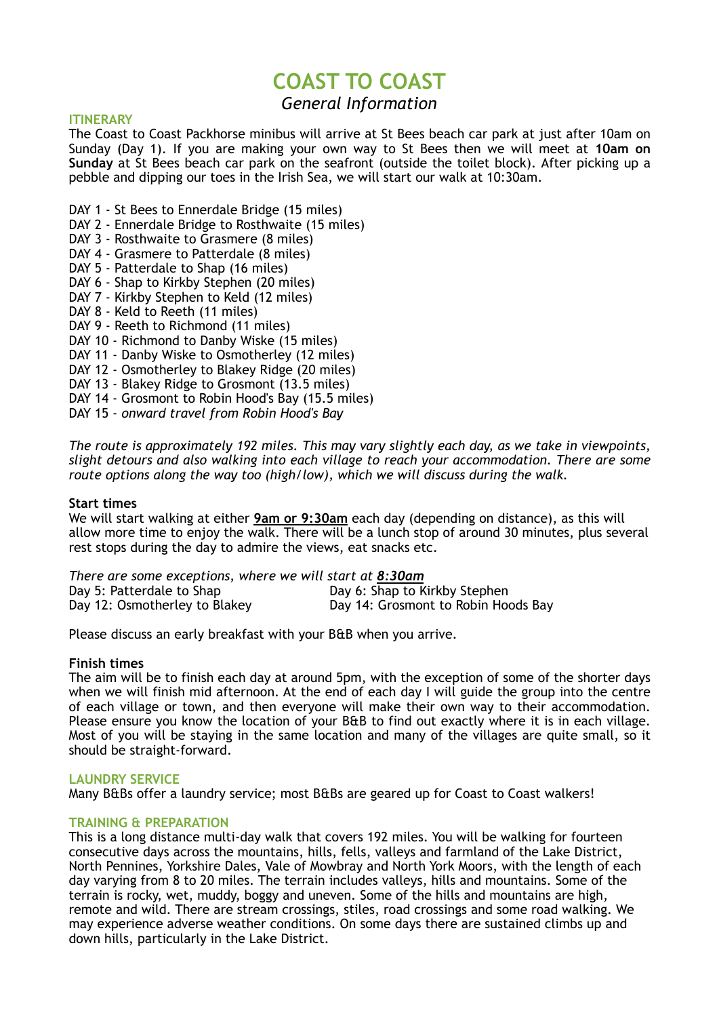# **COAST TO COAST**

# *General Information*

### **ITINERARY**

The Coast to Coast Packhorse minibus will arrive at St Bees beach car park at just after 10am on Sunday (Day 1). If you are making your own way to St Bees then we will meet at **10am on Sunday** at St Bees beach car park on the seafront (outside the toilet block). After picking up a pebble and dipping our toes in the Irish Sea, we will start our walk at 10:30am.

- DAY 1 St Bees to Ennerdale Bridge (15 miles)
- DAY 2 Ennerdale Bridge to Rosthwaite (15 miles)
- DAY 3 Rosthwaite to Grasmere (8 miles)
- DAY 4 Grasmere to Patterdale (8 miles)
- DAY 5 Patterdale to Shap (16 miles)
- DAY 6 Shap to Kirkby Stephen (20 miles)
- DAY 7 Kirkby Stephen to Keld (12 miles)
- DAY 8 Keld to Reeth (11 miles)
- DAY 9 Reeth to Richmond (11 miles)
- DAY 10 Richmond to Danby Wiske (15 miles)
- DAY 11 Danby Wiske to Osmotherley (12 miles)
- DAY 12 Osmotherley to Blakey Ridge (20 miles)
- DAY 13 Blakey Ridge to Grosmont (13.5 miles)
- DAY 14 Grosmont to Robin Hood's Bay (15.5 miles)
- DAY 15 *onward travel from Robin Hood's Bay*

*The route is approximately 192 miles. This may vary slightly each day, as we take in viewpoints, slight detours and also walking into each village to reach your accommodation. There are some route options along the way too (high/low), which we will discuss during the walk.* 

### **Start times**

We will start walking at either **9am or 9:30am** each day (depending on distance), as this will allow more time to enjoy the walk. There will be a lunch stop of around 30 minutes, plus several rest stops during the day to admire the views, eat snacks etc.

*There are some exceptions, where we will start at 8:30am<br>Day 5: Patterdale to Shap<br>Day 6: Shap to K* Day 5: Patterdale to Shap Day 6: Shap to Kirkby Stephen<br>Day 12: Osmotherley to Blakey Day 14: Grosmont to Robin Ho Day 14: Grosmont to Robin Hoods Bay

Please discuss an early breakfast with your B&B when you arrive.

### **Finish times**

The aim will be to finish each day at around 5pm, with the exception of some of the shorter days when we will finish mid afternoon. At the end of each day I will guide the group into the centre of each village or town, and then everyone will make their own way to their accommodation. Please ensure you know the location of your B&B to find out exactly where it is in each village. Most of you will be staying in the same location and many of the villages are quite small, so it should be straight-forward.

### **LAUNDRY SERVICE**

Many B&Bs offer a laundry service; most B&Bs are geared up for Coast to Coast walkers!

### **TRAINING & PREPARATION**

This is a long distance multi-day walk that covers 192 miles. You will be walking for fourteen consecutive days across the mountains, hills, fells, valleys and farmland of the Lake District, North Pennines, Yorkshire Dales, Vale of Mowbray and North York Moors, with the length of each day varying from 8 to 20 miles. The terrain includes valleys, hills and mountains. Some of the terrain is rocky, wet, muddy, boggy and uneven. Some of the hills and mountains are high, remote and wild. There are stream crossings, stiles, road crossings and some road walking. We may experience adverse weather conditions. On some days there are sustained climbs up and down hills, particularly in the Lake District.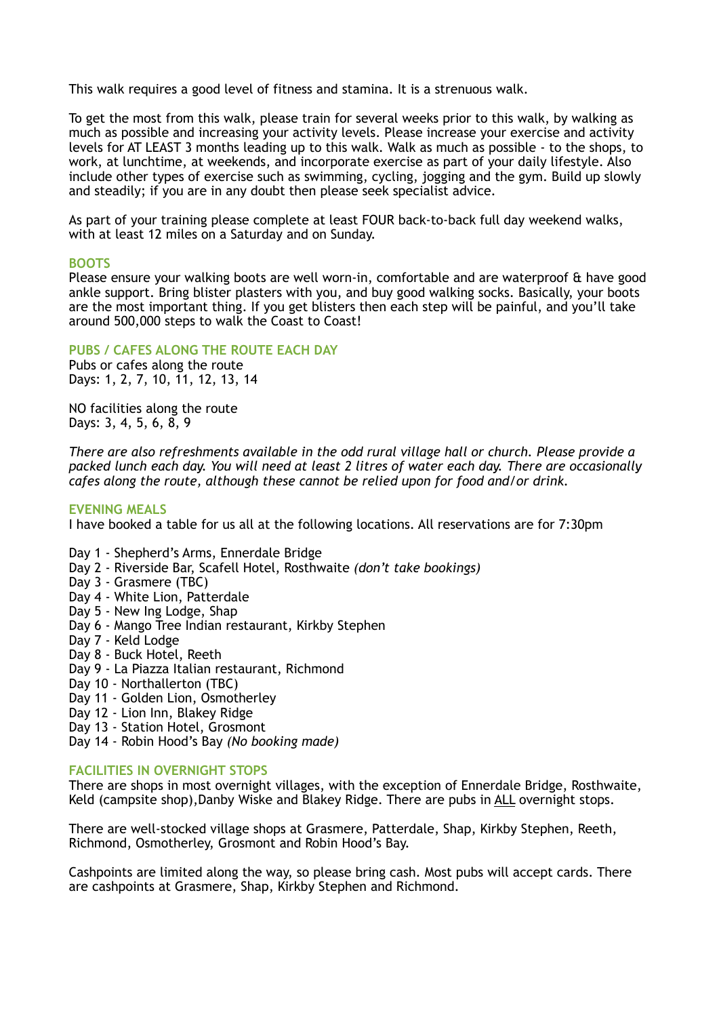This walk requires a good level of fitness and stamina. It is a strenuous walk.

To get the most from this walk, please train for several weeks prior to this walk, by walking as much as possible and increasing your activity levels. Please increase your exercise and activity levels for AT LEAST 3 months leading up to this walk. Walk as much as possible - to the shops, to work, at lunchtime, at weekends, and incorporate exercise as part of your daily lifestyle. Also include other types of exercise such as swimming, cycling, jogging and the gym. Build up slowly and steadily; if you are in any doubt then please seek specialist advice.

As part of your training please complete at least FOUR back-to-back full day weekend walks, with at least 12 miles on a Saturday and on Sunday.

### **BOOTS**

Please ensure your walking boots are well worn-in, comfortable and are waterproof & have good ankle support. Bring blister plasters with you, and buy good walking socks. Basically, your boots are the most important thing. If you get blisters then each step will be painful, and you'll take around 500,000 steps to walk the Coast to Coast!

## **PUBS / CAFES ALONG THE ROUTE EACH DAY**

Pubs or cafes along the route Days: 1, 2, 7, 10, 11, 12, 13, 14

NO facilities along the route Days: 3, 4, 5, 6, 8, 9

*There are also refreshments available in the odd rural village hall or church. Please provide a packed lunch each day. You will need at least 2 litres of water each day. There are occasionally cafes along the route, although these cannot be relied upon for food and/or drink.* 

#### **EVENING MEALS**

I have booked a table for us all at the following locations. All reservations are for 7:30pm

- Day 1 Shepherd's Arms, Ennerdale Bridge
- Day 2 Riverside Bar, Scafell Hotel, Rosthwaite *(don't take bookings)*
- Day 3 Grasmere (TBC)
- Day 4 White Lion, Patterdale
- Day 5 New Ing Lodge, Shap
- Day 6 Mango Tree Indian restaurant, Kirkby Stephen
- Day 7 Keld Lodge
- Day 8 Buck Hotel, Reeth
- Day 9 La Piazza Italian restaurant, Richmond
- Day 10 Northallerton (TBC)
- Day 11 Golden Lion, Osmotherley
- Day 12 Lion Inn, Blakey Ridge
- Day 13 Station Hotel, Grosmont
- Day 14 Robin Hood's Bay *(No booking made)*

#### **FACILITIES IN OVERNIGHT STOPS**

There are shops in most overnight villages, with the exception of Ennerdale Bridge, Rosthwaite, Keld (campsite shop),Danby Wiske and Blakey Ridge. There are pubs in ALL overnight stops.

There are well-stocked village shops at Grasmere, Patterdale, Shap, Kirkby Stephen, Reeth, Richmond, Osmotherley, Grosmont and Robin Hood's Bay.

Cashpoints are limited along the way, so please bring cash. Most pubs will accept cards. There are cashpoints at Grasmere, Shap, Kirkby Stephen and Richmond.